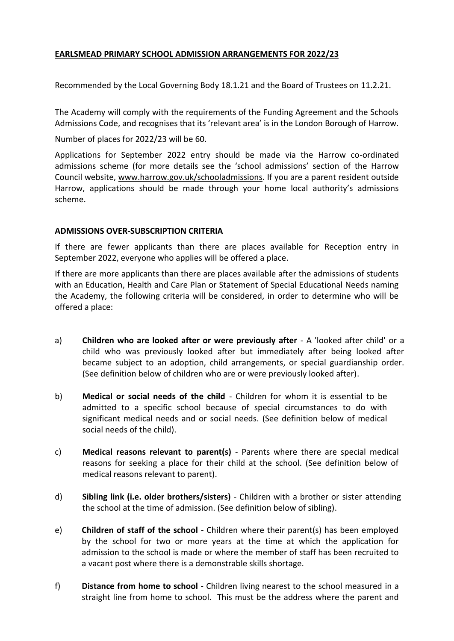# **EARLSMEAD PRIMARY SCHOOL ADMISSION ARRANGEMENTS FOR 2022/23**

Recommended by the Local Governing Body 18.1.21 and the Board of Trustees on 11.2.21.

The Academy will comply with the requirements of the Funding Agreement and the Schools Admissions Code, and recognises that its 'relevant area' is in the London Borough of Harrow.

Number of places for 2022/23 will be 60.

Applications for September 2022 entry should be made via the Harrow co-ordinated admissions scheme (for more details see the 'school admissions' section of the Harrow Council website, [www.harrow.gov.uk/schoola](http://www.harrow.gov.uk/school)dmissions. If you are a parent resident outside Harrow, applications should be made through your home local authority's admissions scheme.

### **ADMISSIONS OVER-SUBSCRIPTION CRITERIA**

If there are fewer applicants than there are places available for Reception entry in September 2022, everyone who applies will be offered a place.

If there are more applicants than there are places available after the admissions of students with an Education, Health and Care Plan or Statement of Special Educational Needs naming the Academy, the following criteria will be considered, in order to determine who will be offered a place:

- a) **Children who are looked after or were previously after** A 'looked after child' or a child who was previously looked after but immediately after being looked after became subject to an adoption, child arrangements, or special guardianship order. (See definition below of children who are or were previously looked after).
- b) **Medical or social needs of the child** Children for whom it is essential to be admitted to a specific school because of special circumstances to do with significant medical needs and or social needs. (See definition below of medical social needs of the child).
- c) **Medical reasons relevant to parent(s)** Parents where there are special medical reasons for seeking a place for their child at the school. (See definition below of medical reasons relevant to parent).
- d) **Sibling link (i.e. older brothers/sisters)** Children with a brother or sister attending the school at the time of admission. (See definition below of sibling).
- e) **Children of staff of the school** Children where their parent(s) has been employed by the school for two or more years at the time at which the application for admission to the school is made or where the member of staff has been recruited to a vacant post where there is a demonstrable skills shortage.
- f) **Distance from home to school** Children living nearest to the school measured in a straight line from home to school. This must be the address where the parent and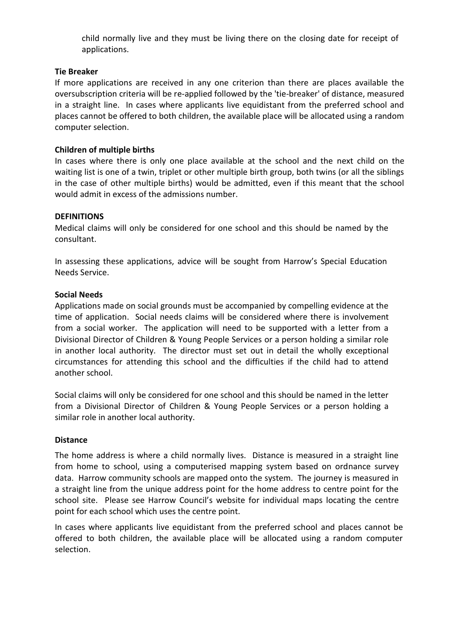child normally live and they must be living there on the closing date for receipt of applications.

### **Tie Breaker**

If more applications are received in any one criterion than there are places available the oversubscription criteria will be re-applied followed by the 'tie-breaker' of distance, measured in a straight line. In cases where applicants live equidistant from the preferred school and places cannot be offered to both children, the available place will be allocated using a random computer selection.

#### **Children of multiple births**

In cases where there is only one place available at the school and the next child on the waiting list is one of a twin, triplet or other multiple birth group, both twins (or all the siblings in the case of other multiple births) would be admitted, even if this meant that the school would admit in excess of the admissions number.

#### **DEFINITIONS**

Medical claims will only be considered for one school and this should be named by the consultant.

In assessing these applications, advice will be sought from Harrow's Special Education Needs Service.

#### **Social Needs**

Applications made on social grounds must be accompanied by compelling evidence at the time of application. Social needs claims will be considered where there is involvement from a social worker. The application will need to be supported with a letter from a Divisional Director of Children & Young People Services or a person holding a similar role in another local authority. The director must set out in detail the wholly exceptional circumstances for attending this school and the difficulties if the child had to attend another school.

Social claims will only be considered for one school and this should be named in the letter from a Divisional Director of Children & Young People Services or a person holding a similar role in another local authority.

#### **Distance**

The home address is where a child normally lives. Distance is measured in a straight line from home to school, using a computerised mapping system based on ordnance survey data. Harrow community schools are mapped onto the system. The journey is measured in a straight line from the unique address point for the home address to centre point for the school site. Please see Harrow Council's website for individual maps locating the centre point for each school which uses the centre point.

In cases where applicants live equidistant from the preferred school and places cannot be offered to both children, the available place will be allocated using a random computer selection.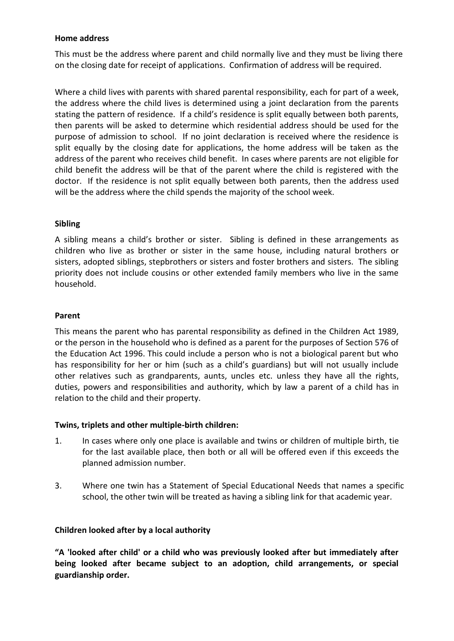### **Home address**

This must be the address where parent and child normally live and they must be living there on the closing date for receipt of applications. Confirmation of address will be required.

Where a child lives with parents with shared parental responsibility, each for part of a week, the address where the child lives is determined using a joint declaration from the parents stating the pattern of residence. If a child's residence is split equally between both parents, then parents will be asked to determine which residential address should be used for the purpose of admission to school. If no joint declaration is received where the residence is split equally by the closing date for applications, the home address will be taken as the address of the parent who receives child benefit. In cases where parents are not eligible for child benefit the address will be that of the parent where the child is registered with the doctor. If the residence is not split equally between both parents, then the address used will be the address where the child spends the majority of the school week.

# **Sibling**

A sibling means a child's brother or sister. Sibling is defined in these arrangements as children who live as brother or sister in the same house, including natural brothers or sisters, adopted siblings, stepbrothers or sisters and foster brothers and sisters. The sibling priority does not include cousins or other extended family members who live in the same household.

# **Parent**

This means the parent who has parental responsibility as defined in the Children Act 1989, or the person in the household who is defined as a parent for the purposes of Section 576 of the Education Act 1996. This could include a person who is not a biological parent but who has responsibility for her or him (such as a child's guardians) but will not usually include other relatives such as grandparents, aunts, uncles etc. unless they have all the rights, duties, powers and responsibilities and authority, which by law a parent of a child has in relation to the child and their property.

### **Twins, triplets and other multiple-birth children:**

- 1. In cases where only one place is available and twins or children of multiple birth, tie for the last available place, then both or all will be offered even if this exceeds the planned admission number.
- 3. Where one twin has a Statement of Special Educational Needs that names a specific school, the other twin will be treated as having a sibling link for that academic year*.*

# **Children looked after by a local authority**

**"A 'looked after child' or a child who was previously looked after but immediately after being looked after became subject to an adoption, child arrangements, or special guardianship order.**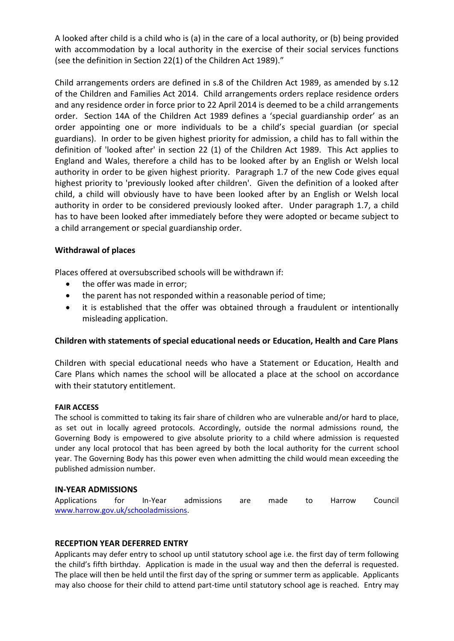A looked after child is a child who is (a) in the care of a local authority, or (b) being provided with accommodation by a local authority in the exercise of their social services functions (see the definition in Section 22(1) of the Children Act 1989)."

Child arrangements orders are defined in s.8 of the Children Act 1989, as amended by s.12 of the Children and Families Act 2014. Child arrangements orders replace residence orders and any residence order in force prior to 22 April 2014 is deemed to be a child arrangements order. Section 14A of the Children Act 1989 defines a 'special guardianship order' as an order appointing one or more individuals to be a child's special guardian (or special guardians). In order to be given highest priority for admission, a child has to fall within the definition of 'looked after' in section 22 (1) of the Children Act 1989. This Act applies to England and Wales, therefore a child has to be looked after by an English or Welsh local authority in order to be given highest priority. Paragraph 1.7 of the new Code gives equal highest priority to 'previously looked after children'. Given the definition of a looked after child, a child will obviously have to have been looked after by an English or Welsh local authority in order to be considered previously looked after. Under paragraph 1.7, a child has to have been looked after immediately before they were adopted or became subject to a child arrangement or special guardianship order.

# **Withdrawal of places**

Places offered at oversubscribed schools will be withdrawn if:

- the offer was made in error;
- the parent has not responded within a reasonable period of time;
- it is established that the offer was obtained through a fraudulent or intentionally misleading application.

### **Children with statements of special educational needs or Education, Health and Care Plans**

Children with special educational needs who have a Statement or Education, Health and Care Plans which names the school will be allocated a place at the school on accordance with their statutory entitlement.

### **FAIR ACCESS**

The school is committed to taking its fair share of children who are vulnerable and/or hard to place, as set out in locally agreed protocols. Accordingly, outside the normal admissions round, the Governing Body is empowered to give absolute priority to a child where admission is requested under any local protocol that has been agreed by both the local authority for the current school year. The Governing Body has this power even when admitting the child would mean exceeding the published admission number.

### **IN-YEAR ADMISSIONS**

Applications for In-Year admissions are made to Harrow Council [www.harrow.gov.uk/schooladmissions.](http://www.harrow.gov.uk/schooladmissions)

### **RECEPTION YEAR DEFERRED ENTRY**

Applicants may defer entry to school up until statutory school age i.e. the first day of term following the child's fifth birthday. Application is made in the usual way and then the deferral is requested. The place will then be held until the first day of the spring or summer term as applicable. Applicants may also choose for their child to attend part-time until statutory school age is reached. Entry may